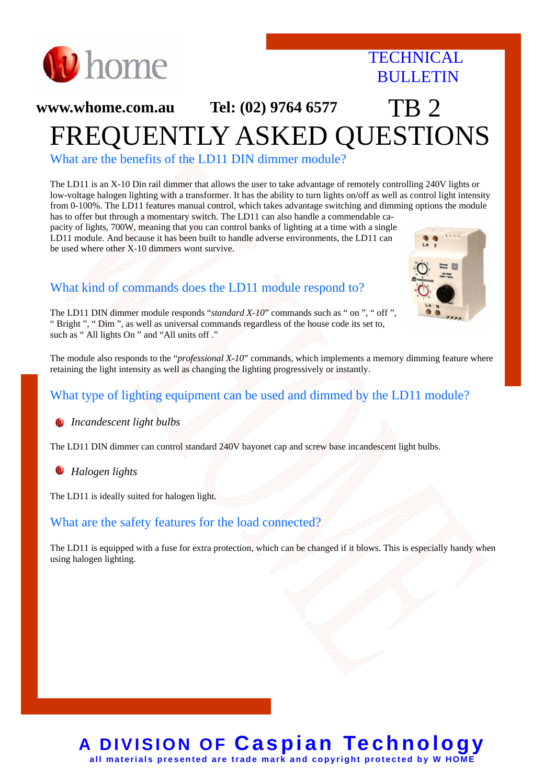

### **TECHNICAL BULLETIN**

# **www.whome.com.au Tel: (02) 9764 6577 TR 2** FREQUENTLY ASKED QUESTIONS

What are the benefits of the LD11 DIN dimmer module?

The LD11 is an X-10 Din rail dimmer that allows the user to take advantage of remotely controlling 240V lights or low-voltage halogen lighting with a transformer. It has the ability to turn lights on/off as well as control light intensity from 0-100%. The LD11 features manual control, which takes advantage switching and dimming options the module has to offer but through a momentary switch. The LD11 can also handle a commendable ca-

pacity of lights, 700W, meaning that you can control banks of lighting at a time with a single LD11 module. And because it has been built to handle adverse environments, the LD11 can be used where other X-10 dimmers wont survive.



### What kind of commands does the LD11 module respond to?

The LD11 DIN dimmer module responds "*standard X-10*" commands such as " on ", " off ", " Bright ", " Dim ", as well as universal commands regardless of the house code its set to, such as " All lights On " and "All units off ."

The module also responds to the "*professional X-10*" commands, which implements a memory dimming feature where retaining the light intensity as well as changing the lighting progressively or instantly.

#### What type of lighting equipment can be used and dimmed by the LD11 module?

*Incandescent light bulbs*

The LD11 DIN dimmer can control standard 240V bayonet cap and screw base incandescent light bulbs.

w *Halogen lights* 

The LD11 is ideally suited for halogen light.

#### What are the safety features for the load connected?

The LD11 is equipped with a fuse for extra protection, which can be changed if it blows. This is especially handy when using halogen lighting.

#### **A DIVISION OF Caspian Technology all materials presented are trade mark and copyright protected by W HOME**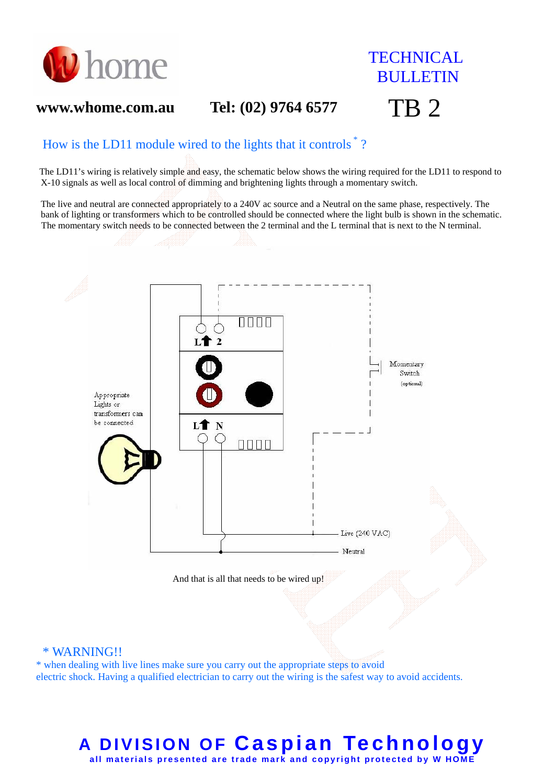

## **TECHNICAL BULLETIN**

### **www.whome.com.au Tel: (02) 9764 6577** TB 2

#### How is the LD11 module wired to the lights that it controls \* ?

The LD11's wiring is relatively simple and easy, the schematic below shows the wiring required for the LD11 to respond to X-10 signals as well as local control of dimming and brightening lights through a momentary switch.

 The live and neutral are connected appropriately to a 240V ac source and a Neutral on the same phase, respectively. The bank of lighting or transformers which to be controlled should be connected where the light bulb is shown in the schematic. The momentary switch needs to be connected between the 2 terminal and the L terminal that is next to the N terminal.



### **A DIVISION OF Caspian Technology all materials presented are trade mark and copyright protected by W HOME**